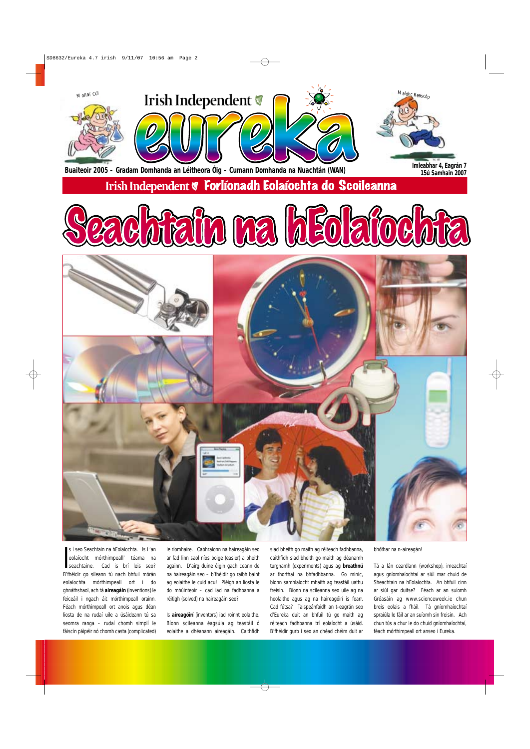**Imleabhar 4, Eagrán 7** 

Irish Independent V Forlíonadh Eolaíochta do Scoileanna





seachtaine. s í seo Seachtain na hEolaíochta. Is í 'an eolaíocht mórthimpeall' téama na Cad is brí leis seo? B'fhéidir go síleann tú nach bhfuil mórán eolaíochta mórthimpeall ort i do ghnáthshaol, ach tá **aireagáin** (inventions) le feiceáil i ngach áit mórthimpeall orainn. Féach mórthimpeall ort anois agus déan liosta de na rudaí uile a úsáideann tú sa seomra ranga – rudaí chomh simplí le fáiscín páipéir nó chomh casta (complicated)

le ríomhaire. Cabhraíonn na haireagáin seo ar fad linn saol níos boige (easier) a bheith againn. D'airg duine éigin gach ceann de na haireagáin seo – b'fhéidir go raibh baint ag eolaithe le cuid acu! Pléigh an liosta le do mhúinteoir – cad iad na fadhbanna a réitigh (solved) na haireagáin seo?

Is **aireagóirí** (inventors) iad roinnt eolaithe. Bíonn scileanna éagsúla ag teastáil ó eolaithe a dhéanann aireagáin. Caithfidh





siad bheith go maith ag réiteach fadhbanna, caithfidh siad bheith go maith ag déanamh turgnamh (experiments) agus ag **breathnú** ar thorthaí na bhfadhbanna. Go minic, bíonn samhlaíocht mhaith ag teastáil uathu freisin. Bíonn na scileanna seo uile ag na heolaithe agus ag na haireagóirí is fearr. Cad fútsa? Taispeánfaidh an t-eagrán seo d'Eureka duit an bhfuil tú go maith ag réiteach fadhbanna trí eolaíocht a úsáid. B'fhéidir gurb í seo an chéad chéim duit ar bhóthar na n-aireagán!

Tá a lán ceardlann (workshop), imeachtaí agus gníomhaíochtaí ar siúl mar chuid de Sheachtain na hEolaíochta. An bhfuil cinn ar siúl gar duitse? Féach ar an suíomh Gréasáin ag www.scienceweek.ie chun breis eolais a fháil. Tá gníomhaíochtaí spraíúla le fáil ar an suíomh sin freisin. Ach chun tús a chur le do chuid gníomhaíochtaí, féach mórthimpeall ort anseo i Eureka.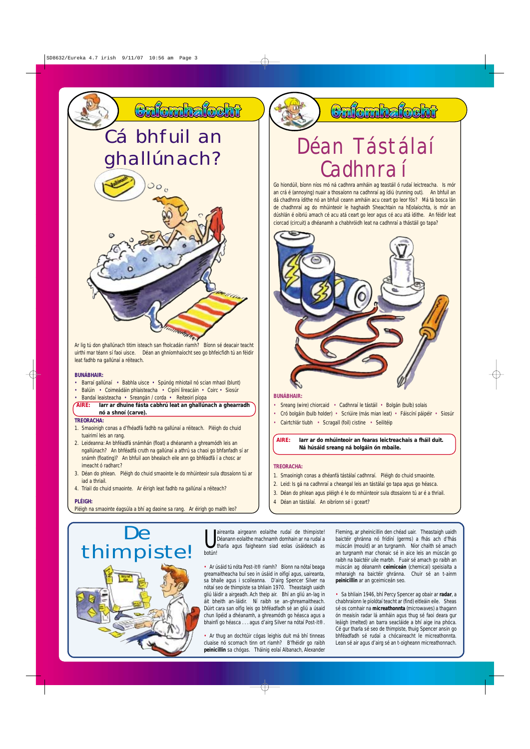# Cá bhfuil an ghallúnach?



Ar lig tú don ghallúnach titim isteach san fholcadán riamh? Bíonn sé deacair teacht uirthi mar téann sí faoi uisce. Déan an ghníomhaíocht seo go bhfeicfidh tú an féidir leat fadhb na gallúnaí a réiteach.

- Barraí gallúnaí Babhla uisce Spúnóg mhiotail nó scian mhaol (blunt)
- Balúin Coimeádáin phlaisteacha Cipíní líreacáin Coirc Siosúr
- Bandaí leaisteacha Sreangán / corda Reiteoirí píopa

## **BUNÁBHAIR:**

## **TREORACHA:**

- 1. Smaoinigh conas a d'fhéadfá fadhb na gallúnaí a réiteach. Pléigh do chuid tuairimí leis an rang.
- 2. Leideanna: An bhféadfá snámhán (float) a dhéanamh a ghreamódh leis an ngallúnach? An bhféadfá cruth na gallúnaí a athrú sa chaoi go bhfanfadh sí ar snámh (floating)? An bhfuil aon bhealach eile ann go bhféadfá í a chosc ar imeacht ó radharc?
- 3. Déan do phlean. Pléigh do chuid smaointe le do mhúinteoir sula dtosaíonn tú ar iad a thriail.
- 4. Triail do chuid smaointe. Ar éirigh leat fadhb na gallúnaí a réiteach?

## **PLÉIGH:**

Pléigh na smaointe éagsúla a bhí ag daoine sa rang. Ar éirigh go maith leo?

## Cafordrafocht

# Déan Tástálaí Cadhnra í

## **BUNÁBHAIR:**

- Sreang (wire) chiorcaid Cadhnraí le tástáil Bolgán (bulb) solais
- Cró bolgáin (bulb holder) Scriúire (más mian leat) Fáiscíní páipéir Siosúr
- Cairtchlár tiubh Scragall (foil) cistine Seilitéip

## **TREORACHA:**

- 1. Smaoinigh conas a dhéanfá tástálaí cadhnraí. Pléigh do chuid smaointe.
- 2. Leid: Is gá na cadhnraí a cheangal leis an tástálaí go tapa agus go héasca.
- 3. Déan do phlean agus pléigh é le do mhúinteoir sula dtosaíonn tú ar é a thriail.
- 4 Déan an tástálaí. An oibríonn sé i gceart?

U botún! aireanta airgeann eolaithe rudaí de thimpiste! Déanann eolaithe machnamh domhain ar na rudaí a tharla agus faigheann siad eolas úsáideach as

• Ar úsáid tú nóta Post-it® riamh? Bíonn na nótaí beaga greamaitheacha buí seo in úsáid in oifigí agus, uaireanta, sa bhaile agus i scoileanna. D'airg Spencer Silver na nótaí seo de thimpiste sa bhliain 1970. Theastaigh uaidh gliú láidir a airgeadh. Ach theip air. Bhí an gliú an-lag in áit bheith an-láidir. Ní raibh se an-ghreamaitheach. Dúirt cara san oifig leis go bhféadfadh sé an gliú a úsaid chun lipéid a dhéanamh, a ghreamódh go héasca agus a bhainfí go héasca ...agus d'airg Silver na nótaí Post-it®.

• Ar thug an dochtúir cógas leighis duit má bhí tinneas cluaise nó scornach tinn ort riamh? B'fhéidir go raibh **peinicillin** sa chógas. Tháinig eolaí Albanach, Alexander

Fleming, ar pheinicillin den chéad uair. Theastaigh uaidh baictéir ghránna nó frídíní (germs) a fhás ach d'fhás múscán (mould) ar an turgnamh. Níor chaith sé amach an turgnamh mar chonaic sé in aice leis an múscán go raibh na baictéir uile marbh. Fuair sé amach go raibh an múscán ag déanamh **ceimiceán** (chemical) speisialta a mharaigh na baictéir ghránna. Chuir sé an t-ainm **peinicillin** ar an gceimiceán seo.

• Sa bhliain 1946, bhí Percy Spencer ag obair ar **radar**, a chabhraíonn le píolótaí teacht ar (find) eitleáin eile. Sheas sé os comhair na **micreathonnta** (microwaves) a thagann ón meaisín radar lá amháin agus thug sé faoi deara gur leáigh (melted) an barra seacláide a bhí aige ina phóca. Cé gur tharla sé seo de thimpiste, thuig Spencer ansin go bhféadfadh sé rudaí a chócaireacht le micreathonnta. Lean sé air agus d'airg sé an t-oigheann micreathonnach.



**AIRE: Iarr ar dhuine fásta cabhrú leat an ghallúnach a ghearradh nó a shnoí (carve).**

> **AIRE: Iarr ar do mhúinteoir an fearas leictreachais a fháil duit. Ná húsáid sreang ná bolgáin ón mbaile.**

Go hiondúil, bíonn níos mó ná cadhnra amháin ag teastáil ó rudaí leictreacha. Is mór an crá é (annoying) nuair a thosaíonn na cadhnraí ag ídiú (running out). An bhfuil an dá chadhnra ídithe nó an bhfuil ceann amháin acu ceart go leor fós? Má tá bosca lán de chadhnraí ag do mhúinteoir le haghaidh Sheachtain na hEolaíochta, is mór an dúshlán é oibriú amach cé acu atá ceart go leor agus cé acu atá ídithe. An féidir leat ciorcad (circuit) a dhéanamh a chabhróidh leat na cadhnraí a thástáil go tapa?



Culombalocht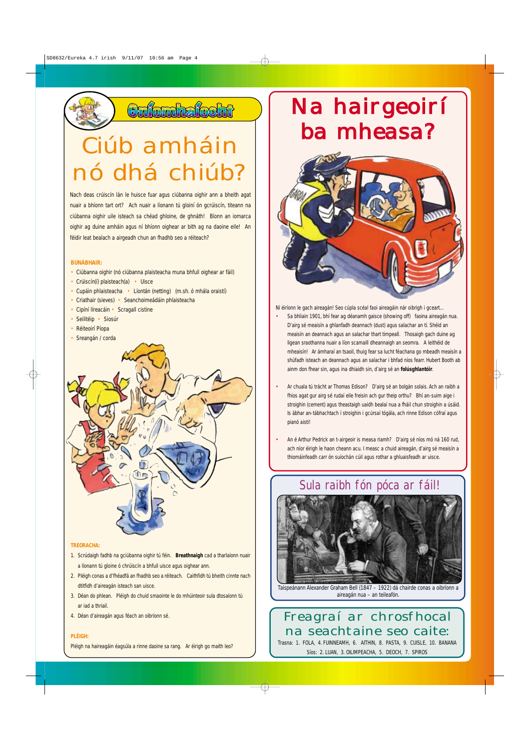# Ciúb amháin nó dhá chiúb?

### **TREORACHA:**

1. Scrúdaigh fadhb na gciúbanna oighir tú féin. **Breathnaigh** cad a tharlaíonn nuair a líonann tú gloine ó chrúiscín a bhfuil uisce agus oighear ann.

- 
- 2. Pléigh conas a d'fhéadfá an fhadhb seo a réiteach. Caithfidh tú bheith cinnte nach dtitfidh d'aireagán isteach san uisce.
- 3. Déan do phlean. Pléigh do chuid smaointe le do mhúinteoir sula dtosaíonn tú ar iad a thriail.
- 4. Déan d'aireagán agus féach an oibríonn sé.

#### **PLÉIGH:**

Pléigh na haireagáin éagsúla a rinne daoine sa rang. Ar éirigh go maith leo?

# Na hairgeoirí ba mheasa?



Ní éiríonn le gach aireagán! Seo cúpla scéal faoi aireagáin nár oibrigh i gceart...

- Sa bhliain 1901, bhí fear ag déanamh gaisce (showing off) faoina aireagán nua. D'airg sé meaisín a ghlanfadh deannach (dust) agus salachar an tí. Shéid an meaisín an deannach agus an salachar thart timpeall. Thosaigh gach duine ag ligean sraothanna nuair a líon scamaill dheannaigh an seomra. A leithéid de mheaisín! Ar ámharaí an tsaoil, thuig fear sa lucht féachana go mbeadh meaisín a shúfadh isteach an deannach agus an salachar i bhfad níos fearr. Hubert Booth ab ainm don fhear sin, agus ina dhiaidh sin, d'airg sé an **folúsghlantóir**.
- Ar chuala tú trácht ar Thomas Edison? D'airg sé an bolgán solais. Ach an raibh a fhios agat gur airg sé rudaí eile freisin ach gur theip orthu? Bhí an-suim aige i stroighin (cement) agus theastaigh uaidh bealaí nua a fháil chun stroighin a úsáid. Is ábhar an-tábhachtach í stroighin i gcúrsaí tógála, ach rinne Edison cófraí agus pianó aisti!
- An é Arthur Pedrick an t-airgeoir is measa riamh? D'airg sé níos mó ná 160 rud, ach níor éirigh le haon cheann acu. I measc a chuid aireagán, d'airg sé meaisín a thiomáinfeadh carr ón suíochán cúil agus rothar a ghluaisfeadh ar uisce.

Nach deas crúiscín lán le huisce fuar agus ciúbanna oighir ann a bheith agat nuair a bhíonn tart ort? Ach nuair a líonann tú gloiní ón gcrúiscín, titeann na ciúbanna oighir uile isteach sa chéad ghloine, de ghnáth! Bíonn an iomarca oighir ag duine amháin agus ní bhíonn oighear ar bith ag na daoine eile! An féidir leat bealach a airgeadh chun an fhadhb seo a réiteach?

## **BUNÁBHAIR:**

- Ciúbanna oighir (nó ciúbanna plaisteacha muna bhfuil oighear ar fáil)
- Crúiscín(í) plaisteach(a) Uisce
- Cupáin phlaisteacha Líontán (netting) (m.sh. ó mhála oraistí)
- Criathair (sieves) Seanchoimeádáin phlaisteacha
- Cipíní líreacáin Scragall cistine
- Seilitéip Siosúr
- Réiteoirí Píopa
- Sreangán / corda



## Freagraí ar chrosfhocal na seachtaine seo caite:

Trasna: 1. FOLA, 4. FUINNEAMH, 6. AITHIN, 8. PASTA, 9. CUISLE, 10. BANANA

Síos: 2. LUAN, 3. OILIMPEACHA, 5. DEOCH, 7. SPIROS

## Sula raibh fón póca ar fáil!



Taispeánann Alexander Graham Bell (1847 – 1922) dá chairde conas a oibríonn a aireagán nua – an teileafón.

Caforahafocht